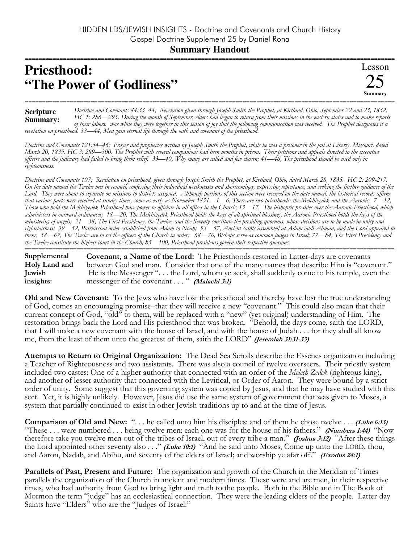## **Priesthood:** "The Power of Godliness"



Doctrine and Covenants 84:33–44; Revelation given through Joseph Smith the Prophet, at Kirtland, Ohio, September 22 and 23, 1832. **Scripture** HC 1: 286—295. During the month of September, elders had begun to return from their missions in the eastern states and to make reports Summary: of their labors. was while they were together in this season of joy that the following communication was received. The Prophet designates it a revelation on priesthood. 33-44, Men gain eternal life through the oath and covenant of the priesthood.

Doctrine and Covenants 121:34–46; Prayer and prophecies written by Joseph Smith the Prophet, while he was a prisoner in the jail at Liberty, Missouri, dated March 20, 1839. HC 3: 289—300. The Prophet with several companions had been months in prison. Their petitions and appeals directed to the executive officers and the judiciary had failed to bring them relief.  $33-40$ , Why many are called and few chosen;  $41-46$ , The priesthood should be used only in righteousness.

Doctrine and Covenants 107; Revelation on priesthood, given through Joseph Smith the Prophet, at Kirtland, Ohio, dated March 28, 1835. HC 2: 209-217. On the date named the Twelve met in council, confessing their individual weaknesses and shortcomings, expressing repentance, and seeking the further guidance of the Lord. They were about to separate on missions to districts assigned. Although portions of this section were received on the date named, the historical records affirm that various parts were received at sundry times, some as early as November 1831. 1—6, There are two priesthoods: the Melchizedek and the Aaronic; 7—12, Those who hold the Melchizedek Priesthood have power to officiate in all offices in the Church; 13-17, The bishopric presides over the Aaronic Priesthood, which administers in outward ordinances; 18—20, The Melchizedek Priesthood holds the keys of all spiritual blessings; the Aaronic Priesthood holds the keys of the ministering of angels; 21—38, The First Presidency, the Twelve, and the Seventy constitute the presiding quorums, whose decisions are to be made in unity and righteousness; 39–52, Patriarchal order established from Adam to Noah; 53–57, Ancient saints assembled at Adam-ondi-Ahman, and the Lord appeared to them; 58—67, The Twelve are to set the officers of the Church in order; 68—76, Bishops serve as common judges in Israel; 77—84, The First Presidency and the Twelve constitute the highest court in the Church; 85—100, Priesthood presidents govern their respective quorums.

Supplemental **Covenant, a Name of the Lord:** The Priesthoods restored in Latter-days are covenants Holy Land and between God and man. Consider that one of the many names that describe Him is "covenant." He is the Messenger "... the Lord, whom ye seek, shall suddenly come to his temple, even the **I**ewish messenger of the covenant . . . " (Malachi 3:1) insights:

**Old and New Covenant:** To the Jews who have lost the priesthood and thereby have lost the true understanding of God, comes an encouraging promise–that they will receive a new "covenant." This could also mean that their current concept of God, "old" to them, will be replaced with a "new" (yet original) understanding of Him. The restoration brings back the Lord and His priesthood that was broken. "Behold, the days come, saith the LORD, that I will make a new covenant with the house of Israel, and with the house of Judah ... for they shall all know me, from the least of them unto the greatest of them, saith the LORD" (Jeremiah 31:31-33)

Attempts to Return to Original Organization: The Dead Sea Scrolls describe the Essenes organization including a Teacher of Righteousness and two assistants. There was also a council of twelve overseers. Their priestly system included two castes: One of a higher authority that connected with an order of the *Melech Zedek* (righteous king), and another of lesser authority that connected with the Levitical, or Order of Aaron. They were bound by a strict order of unity. Some suggest that this governing system was copied by Jesus, and that he may have studied with this sect. Yet, it is highly unlikely. However, Jesus did use the same system of government that was given to Moses, a system that partially continued to exist in other Jewish traditions up to and at the time of Jesus.

Comparison of Old and New: "... he called unto him his disciples: and of them he chose twelve ... (Luke 6:13) "These ... were numbered ... being twelve men: each one was for the house of his fathers." (Numbers 1:44) "Now therefore take you twelve men out of the tribes of Israel, out of every tribe a man." *(Joshua 3:12)* "After these things the Lord appointed other seventy also  $\ldots$ " (Luke 10:1) "And he said unto Moses, Come up unto the LORD, thou, and Aaron, Nadab, and Abihu, and seventy of the elders of Israel; and worship ye afar off." (Exodus 24:1)

**Parallels of Past, Present and Future:** The organization and growth of the Church in the Meridian of Times parallels the organization of the Church in ancient and modern times. These were and are men, in their respective times, who had authority from God to bring light and truth to the people. Both in the Bible and in The Book of Mormon the term "judge" has an ecclesiastical connection. They were the leading elders of the people. Latter-day Saints have "Elders" who are the "Judges of Israel."